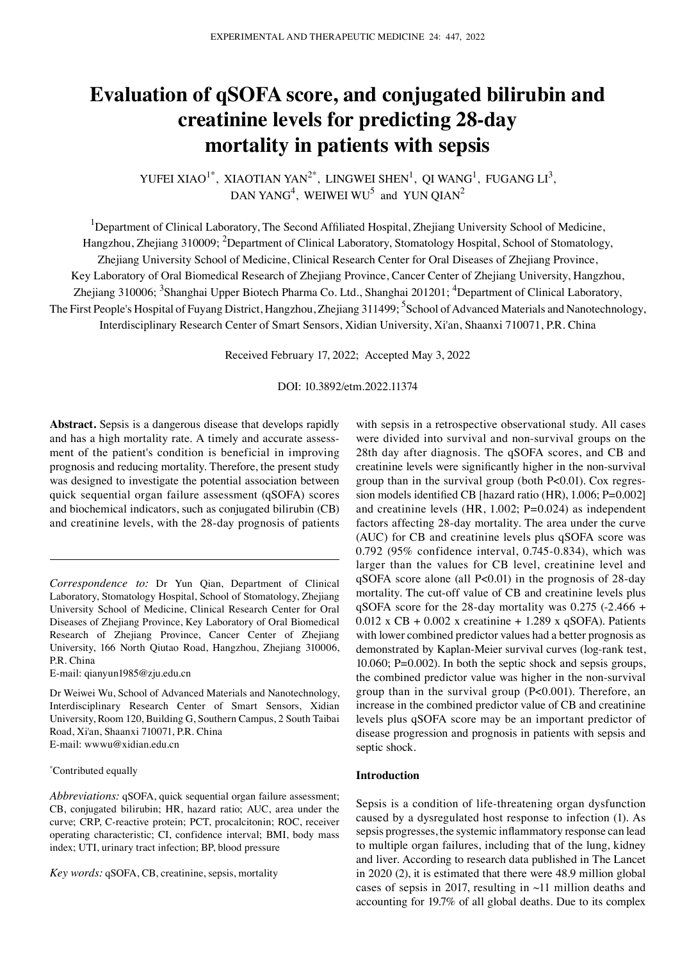# **Evaluation of qSOFA score, and conjugated bilirubin and creatinine levels for predicting 28‑day mortality in patients with sepsis**

YUFEI XIAO<sup>1\*</sup>, XIAOTIAN YAN<sup>2\*</sup>, LINGWEI SHEN<sup>1</sup>, QI WANG<sup>1</sup>, FUGANG LI<sup>3</sup>, DAN YANG<sup>4</sup>, WEIWEI WU<sup>5</sup> and YUN QIAN<sup>2</sup>

<sup>1</sup>Department of Clinical Laboratory, The Second Affiliated Hospital, Zhejiang University School of Medicine, Hangzhou, Zhejiang 310009; <sup>2</sup>Department of Clinical Laboratory, Stomatology Hospital, School of Stomatology, Zhejiang University School of Medicine, Clinical Research Center for Oral Diseases of Zhejiang Province, Key Laboratory of Oral Biomedical Research of Zhejiang Province, Cancer Center of Zhejiang University, Hangzhou, Zhejiang 310006; <sup>3</sup>Shanghai Upper Biotech Pharma Co. Ltd., Shanghai 201201; <sup>4</sup>Department of Clinical Laboratory, The First People's Hospital of Fuyang District, Hangzhou, Zhejiang 311499; <sup>5</sup>School of Advanced Materials and Nanotechnology,

Interdisciplinary Research Center of Smart Sensors, Xidian University, Xi'an, Shaanxi 710071, P.R. China

Received February 17, 2022; Accepted May 3, 2022

# DOI: 10.3892/etm.2022.11374

**Abstract.** Sepsis is a dangerous disease that develops rapidly and has a high mortality rate. A timely and accurate assessment of the patient's condition is beneficial in improving prognosis and reducing mortality. Therefore, the present study was designed to investigate the potential association between quick sequential organ failure assessment (qSOFA) scores and biochemical indicators, such as conjugated bilirubin (CB) and creatinine levels, with the 28‑day prognosis of patients

*Correspondence to:* Dr Yun Qian, Department of Clinical Laboratory, Stomatology Hospital, School of Stomatology, Zhejiang University School of Medicine, Clinical Research Center for Oral Diseases of Zhejiang Province, Key Laboratory of Oral Biomedical Research of Zhejiang Province, Cancer Center of Zhejiang University, 166 North Qiutao Road, Hangzhou, Zhejiang 310006, P.R. China

E‑mail: qianyun1985@zju.edu.cn

Dr Weiwei Wu, School of Advanced Materials and Nanotechnology, Interdisciplinary Research Center of Smart Sensors, Xidian University, Room 120, Building G, Southern Campus, 2 South Taibai Road, Xi'an, Shaanxi 710071, P.R. China E‑mail: wwwu@xidian.edu.cn

#### \* Contributed equally

*Abbreviations:* qSOFA, quick sequential organ failure assessment; CB, conjugated bilirubin; HR, hazard ratio; AUC, area under the curve; CRP, C‑reactive protein; PCT, procalcitonin; ROC, receiver operating characteristic; CI, confidence interval; BMI, body mass index; UTI, urinary tract infection; BP, blood pressure

*Key words:* qSOFA, CB, creatinine, sepsis, mortality

with sepsis in a retrospective observational study. All cases were divided into survival and non-survival groups on the 28th day after diagnosis. The qSOFA scores, and CB and creatinine levels were significantly higher in the non‑survival group than in the survival group (both  $P<0.01$ ). Cox regression models identified CB [hazard ratio (HR), 1.006; P=0.002] and creatinine levels (HR, 1.002; P=0.024) as independent factors affecting 28‑day mortality. The area under the curve (AUC) for CB and creatinine levels plus qSOFA score was 0.792 (95% confidence interval, 0.745‑0.834), which was larger than the values for CB level, creatinine level and qSOFA score alone (all P<0.01) in the prognosis of 28‑day mortality. The cut‑off value of CB and creatinine levels plus qSOFA score for the 28-day mortality was  $0.275$  (-2.466 +  $0.012$  x CB + 0.002 x creatinine + 1.289 x qSOFA). Patients with lower combined predictor values had a better prognosis as demonstrated by Kaplan-Meier survival curves (log-rank test, 10.060; P=0.002). In both the septic shock and sepsis groups, the combined predictor value was higher in the non-survival group than in the survival group (P<0.001). Therefore, an increase in the combined predictor value of CB and creatinine levels plus qSOFA score may be an important predictor of disease progression and prognosis in patients with sepsis and septic shock.

#### **Introduction**

Sepsis is a condition of life-threatening organ dysfunction caused by a dysregulated host response to infection (1). As sepsis progresses, the systemic inflammatory response can lead to multiple organ failures, including that of the lung, kidney and liver. According to research data published in The Lancet in 2020 (2), it is estimated that there were 48.9 million global cases of sepsis in 2017, resulting in ~11 million deaths and accounting for 19.7% of all global deaths. Due to its complex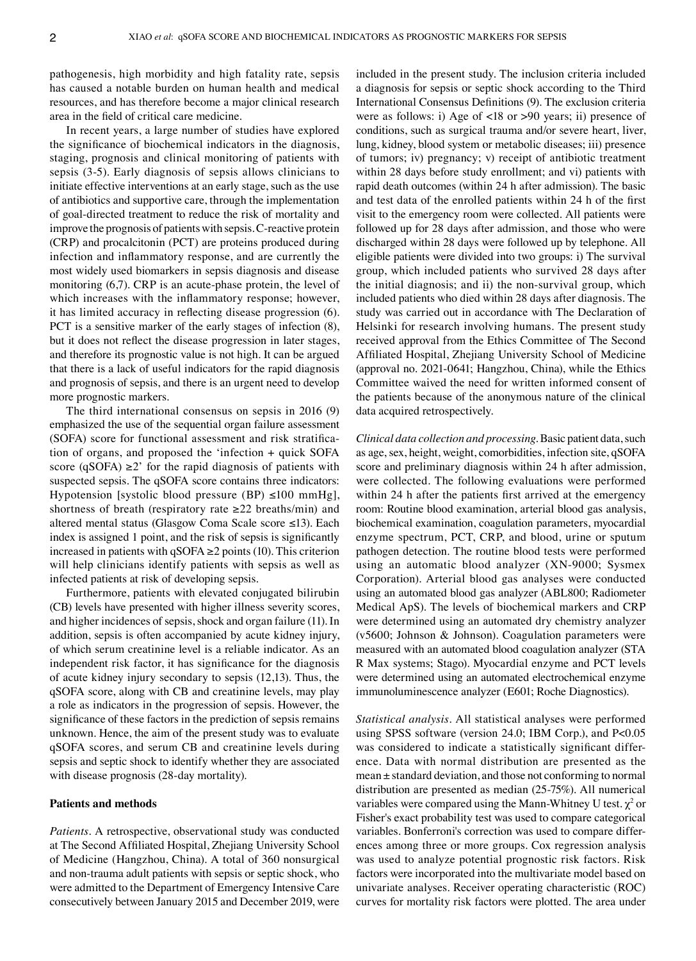pathogenesis, high morbidity and high fatality rate, sepsis has caused a notable burden on human health and medical resources, and has therefore become a major clinical research area in the field of critical care medicine.

In recent years, a large number of studies have explored the significance of biochemical indicators in the diagnosis, staging, prognosis and clinical monitoring of patients with sepsis (3-5). Early diagnosis of sepsis allows clinicians to initiate effective interventions at an early stage, such as the use of antibiotics and supportive care, through the implementation of goal‑directed treatment to reduce the risk of mortality and improve the prognosis of patients with sepsis. C‑reactive protein (CRP) and procalcitonin (PCT) are proteins produced during infection and inflammatory response, and are currently the most widely used biomarkers in sepsis diagnosis and disease monitoring (6,7). CRP is an acute-phase protein, the level of which increases with the inflammatory response; however, it has limited accuracy in reflecting disease progression (6). PCT is a sensitive marker of the early stages of infection  $(8)$ , but it does not reflect the disease progression in later stages, and therefore its prognostic value is not high. It can be argued that there is a lack of useful indicators for the rapid diagnosis and prognosis of sepsis, and there is an urgent need to develop more prognostic markers.

The third international consensus on sepsis in 2016 (9) emphasized the use of the sequential organ failure assessment (SOFA) score for functional assessment and risk stratification of organs, and proposed the 'infection + quick SOFA score (qSOFA)  $\geq$ <sup>2</sup> for the rapid diagnosis of patients with suspected sepsis. The qSOFA score contains three indicators: Hypotension [systolic blood pressure (BP)  $\leq 100$  mmHg], shortness of breath (respiratory rate  $\geq 22$  breaths/min) and altered mental status (Glasgow Coma Scale score ≤13). Each index is assigned 1 point, and the risk of sepsis is significantly increased in patients with  $qSOFA \geq 2$  points (10). This criterion will help clinicians identify patients with sepsis as well as infected patients at risk of developing sepsis.

Furthermore, patients with elevated conjugated bilirubin (CB) levels have presented with higher illness severity scores, and higher incidences of sepsis, shock and organ failure (11). In addition, sepsis is often accompanied by acute kidney injury, of which serum creatinine level is a reliable indicator. As an independent risk factor, it has significance for the diagnosis of acute kidney injury secondary to sepsis (12,13). Thus, the qSOFA score, along with CB and creatinine levels, may play a role as indicators in the progression of sepsis. However, the significance of these factors in the prediction of sepsis remains unknown. Hence, the aim of the present study was to evaluate qSOFA scores, and serum CB and creatinine levels during sepsis and septic shock to identify whether they are associated with disease prognosis (28-day mortality).

#### **Patients and methods**

*Patients.* A retrospective, observational study was conducted at The Second Affiliated Hospital, Zhejiang University School of Medicine (Hangzhou, China). A total of 360 nonsurgical and non-trauma adult patients with sepsis or septic shock, who were admitted to the Department of Emergency Intensive Care consecutively between January 2015 and December 2019, were included in the present study. The inclusion criteria included a diagnosis for sepsis or septic shock according to the Third International Consensus Definitions (9). The exclusion criteria were as follows: i) Age of <18 or >90 years; ii) presence of conditions, such as surgical trauma and/or severe heart, liver, lung, kidney, blood system or metabolic diseases; iii) presence of tumors; iv) pregnancy; v) receipt of antibiotic treatment within 28 days before study enrollment; and vi) patients with rapid death outcomes (within 24 h after admission). The basic and test data of the enrolled patients within 24 h of the first visit to the emergency room were collected. All patients were followed up for 28 days after admission, and those who were discharged within 28 days were followed up by telephone. All eligible patients were divided into two groups: i) The survival group, which included patients who survived 28 days after the initial diagnosis; and ii) the non‑survival group, which included patients who died within 28 days after diagnosis. The study was carried out in accordance with The Declaration of Helsinki for research involving humans. The present study received approval from the Ethics Committee of The Second Affiliated Hospital, Zhejiang University School of Medicine (approval no. 2021‑0641; Hangzhou, China), while the Ethics Committee waived the need for written informed consent of the patients because of the anonymous nature of the clinical data acquired retrospectively.

*Clinical data collection and processing.* Basic patient data, such as age, sex, height, weight, comorbidities, infection site, qSOFA score and preliminary diagnosis within 24 h after admission, were collected. The following evaluations were performed within 24 h after the patients first arrived at the emergency room: Routine blood examination, arterial blood gas analysis, biochemical examination, coagulation parameters, myocardial enzyme spectrum, PCT, CRP, and blood, urine or sputum pathogen detection. The routine blood tests were performed using an automatic blood analyzer (XN‑9000; Sysmex Corporation). Arterial blood gas analyses were conducted using an automated blood gas analyzer (ABL800; Radiometer Medical ApS). The levels of biochemical markers and CRP were determined using an automated dry chemistry analyzer (v5600; Johnson & Johnson). Coagulation parameters were measured with an automated blood coagulation analyzer (STA R Max systems; Stago). Myocardial enzyme and PCT levels were determined using an automated electrochemical enzyme immunoluminescence analyzer (E601; Roche Diagnostics).

*Statistical analysis.* All statistical analyses were performed using SPSS software (version 24.0; IBM Corp.), and P<0.05 was considered to indicate a statistically significant difference. Data with normal distribution are presented as the mean ± standard deviation, and those not conforming to normal distribution are presented as median (25‑75%). All numerical variables were compared using the Mann-Whitney U test.  $\chi^2$  or Fisher's exact probability test was used to compare categorical variables. Bonferroni's correction was used to compare differences among three or more groups. Cox regression analysis was used to analyze potential prognostic risk factors. Risk factors were incorporated into the multivariate model based on univariate analyses. Receiver operating characteristic (ROC) curves for mortality risk factors were plotted. The area under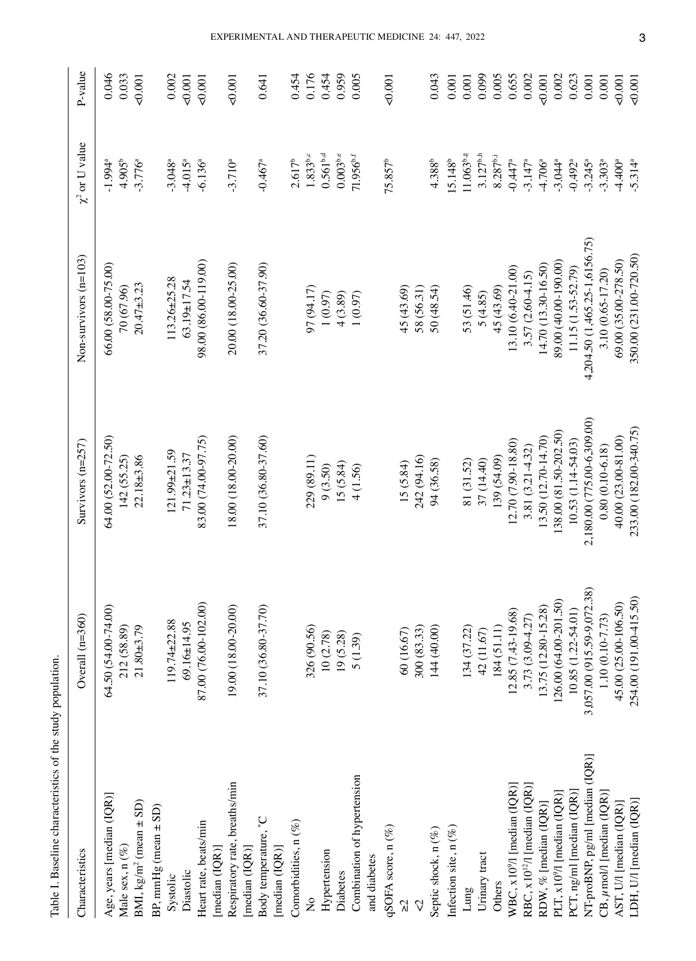| Table I. Baseline characteristics of the study population |                            |                            |                               |                        |          |
|-----------------------------------------------------------|----------------------------|----------------------------|-------------------------------|------------------------|----------|
| Characteristics                                           | Overall $(n=360)$          | Survivors $(n=257)$        | Non-survivors $(n=103)$       | $\chi^2$ or U value    | P-value  |
| Age, years [median (IQR)]                                 | 64.50 (54.00-74.00)        | 64.00 (52.00-72.50)        | 66.00 (58.00-75.00)           | $-1.994$ <sup>a</sup>  | 0.046    |
| Male sex, n (%)                                           | 212 (58.89)                | 142(55.25)                 | 70 (67.96)                    | $4.905^{b}$            | 0.033    |
| BMI, $kg/m^2$ (mean $\pm$ SD)                             | $21.80 + 3.79$             | $22.18 + 3.86$             | $20.47 + 3.23$                | $-3.776^a$             | 0.001    |
| BP, $mmHg$ (mean $\pm$ SD)                                |                            |                            |                               |                        |          |
| Systolic                                                  | 119.74±22.88               | $121.99 + 21.59$           | $113.26 \pm 25.28$            | $-3.048$ <sup>a</sup>  | $0.002$  |
| Diastolic                                                 | $69.16 \pm 14.95$          | $71.23 \pm 13.37$          | $63.19 \pm 17.54$             | $-4.015^a$             | 0.001    |
| Heart rate, beats/min                                     | 87.00 (76.00-102.00)       | 83.00 (74.00-97.75)        | 98.00 (86.00-119.00)          | $-6.136$ <sup>a</sup>  | 0.001    |
| [median (IQR)]                                            |                            |                            |                               |                        |          |
| Respiratory rate, breaths/min<br>[median (IQR)]           | 19.00 (18.00-20.00)        | 18.00 (18.00-20.00)        | 20.00 (18.00-25.00)           | $-3.710^{a}$           | $-0.001$ |
| Body temperature, °C                                      | 37.10 (36.80-37.70)        | 37.10 (36.80-37.60)        | 37.20 (36.60-37.90)           | $-0.467$ <sup>a</sup>  | 0.641    |
| [median (IQR)                                             |                            |                            |                               |                        |          |
| Comorbidities, n (%)                                      |                            |                            |                               | $2.617^b$              | 0.454    |
| $\frac{1}{2}$                                             | 326 (90.56)                | 229 (89.11)                | 97 (94.17)                    | $1.833^{\rm bc}$       | 0.176    |
| Hypertension                                              | 10(2.78)                   | 9(3.50)                    | (0.97)                        | $0.561^{\rm b,d}$      | 0.454    |
| Diabetes                                                  | 19 (5.28)                  | 15 (5.84)                  | 4(3.89)                       | $0.003^{\rm b,e}$      | 0.959    |
| Combination of hypertension                               | 5 (1.39)                   | 4(1.56)                    | (0.97)                        | $71.956$ <sup>tf</sup> | 0.005    |
| and diabetes                                              |                            |                            |                               |                        |          |
| qSOFA score, n (%)                                        |                            |                            |                               | 75.857 <sup>b</sup>    | $-0.001$ |
| ر<br>ج                                                    | 60 (16.67)                 | 15 (5.84)                  | 45 (43.69)                    |                        |          |
| $\heartsuit$                                              | 300 (83.33)                | 242 (94.16)                | 58 (56.31)                    |                        |          |
| Septic shock, n (%)                                       | 144 (40.00)                | 94 (36.58)                 | 50 (48.54)                    | $4.388^{b}$            | 0.043    |
| Infection site, $n$ (%)                                   |                            |                            |                               | 15.148 <sup>b</sup>    | 0.001    |
| Lung                                                      | 134 (37.22)                | 81 (31.52)                 | 53 (51.46)                    | $11.063^{b.g}$         | 0.001    |
| Urinary tract                                             | 42 (11.67)                 | 37 (14.40)                 | 5(4.85)                       | 3.127 <sup>bh</sup>    | 0.099    |
| Others                                                    | 184(51.11)                 | 139 (54.09)                | 45 (43.69)                    | $8.287^{b,i}$          | 0.005    |
| $WBC, x109/1$ [median $(IQR)$ ]                           | 12.85 (7.43-19.68)         | 12.70 (7.90-18.80)         | 13.10 (6.40-21.00)            | $-0.447$ <sup>a</sup>  | 0.655    |
| RBC, x10 <sup>12</sup> /l [median (IQR)]                  | 3.73 (3.09-4.27)           | 3.81 (3.21-4.32)           | 3.57 (2.60-4.15)              | $-3.147^a$             | 0.002    |
| RDW, % [median (IQR)]                                     | 13.75 (12.80-15.28)        | 13.50 (12.70-14.70)        | 14.70 (13.30-16.50)           | $-4.706$ <sup>a</sup>  | $-0.001$ |
| PLT, x10 <sup>9</sup> /l [median (IQR)]                   | 126.00 (64.00-201.50)      | 138.00 (81.50-202.50)      | 89.00 (40.00-190.00)          | $-3.044$ <sup>a</sup>  | 0.002    |
| PCT, ng/ml [median (IQR)]                                 | 10.85 (1.22-54.01)         | 10.53 (1.14-54.03)         | $11.15(1.53 - 52.79)$         | $-0.492$ <sup>a</sup>  | 0.623    |
| NT-proBNP, pg/ml [median (IQR)]                           | 3,057.00 (915.59-9,072.38) | 2,180.00 (775.00-6,309.00) | 4,204.50 (1,465.25-1,6156.75) | $-3.245^a$             | 0.001    |
| CB, µ mol/l [median (IQR)]                                | $1.10(0.10-7.73)$          | $0.80(0.10-6.18)$          | $3.10(0.65 - 17.20)$          | $-3.303$ <sup>a</sup>  | 0.001    |
| AST, U/I [median (IQR)]                                   | 45.00 (25.00-106.50)       | 40.00 (23.00-81.00)        | 69.00 (35.00-278.50)          | $-4.400$ <sup>a</sup>  | 0.001    |
| LDH, U/l [median (IQR)]                                   | 254.00 (191.00-415.50)     | 233.00 (182.00-340.75)     | 350.00 (231.00-720.50)        | $-5.314$ <sup>a</sup>  | $-0.001$ |

EXPERIMENTAL AND THERAPEUTIC MEDICINE 24: 447, 2022 3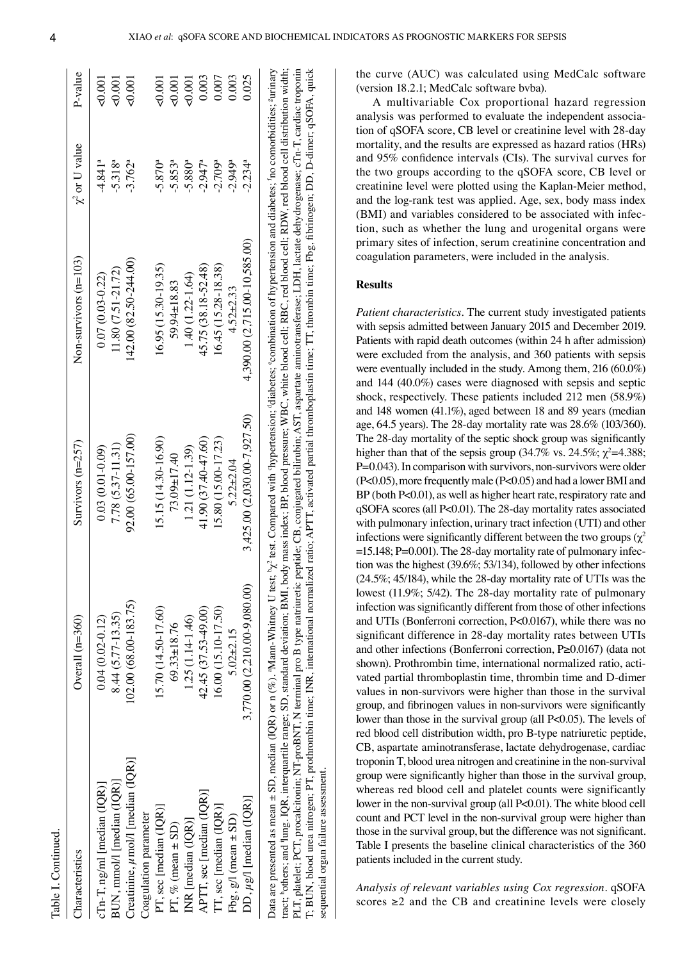| <b>Characteristics</b>                                                                                                                                                                                                                                                                                                                                                                                       | Overall $(n=360)$            | Survivors $(n=257)$          | $Non-survivors (n=103)$       | $\chi^2$ or U value   | P-value  |
|--------------------------------------------------------------------------------------------------------------------------------------------------------------------------------------------------------------------------------------------------------------------------------------------------------------------------------------------------------------------------------------------------------------|------------------------------|------------------------------|-------------------------------|-----------------------|----------|
| $cTn-T$ , ng/ml [median $(QR)$ ]                                                                                                                                                                                                                                                                                                                                                                             | $0.04(0.02 - 0.12)$          | $0.03(0.01-0.09)$            | $0.07(0.03 - 0.22)$           | $-4.841$ <sup>a</sup> | $-0.001$ |
| BUN, mmol/l [median (IQR)]                                                                                                                                                                                                                                                                                                                                                                                   | 8.44 (5.77-13.35)            | $7.78(5.37 - 11.31)$         | $11.80(7.51-21.72)$           | $-5.318^{a}$          | $-0.001$ |
| Creatinine, $\mu$ mol/l [median $(QR)$ ]                                                                                                                                                                                                                                                                                                                                                                     | $102.00(68.00-183.75)$       | 92.00 (65.00-157.00)         | $142.00(82.50-244.00)$        | $-3.762^{\rm a}$      | <0.001   |
| Coagulation parameter                                                                                                                                                                                                                                                                                                                                                                                        |                              |                              |                               |                       |          |
| PT, sec [median (IQR)]                                                                                                                                                                                                                                                                                                                                                                                       | 15.70 (14.50-17.60)          | 15.15 (14.30-16.90)          | 16.95 (15.30-19.35)           | $-5.870$ ª            | $-0.001$ |
| PT, $%$ (mean $\pm$ SD)                                                                                                                                                                                                                                                                                                                                                                                      | $69.33 \pm 18.76$            | $73.09 + 17.40$              | 59.94±18.83                   | $-5.853$ <sup>a</sup> | $-0.001$ |
| INR [median (IQR)]                                                                                                                                                                                                                                                                                                                                                                                           | 1.25 (1.14-1.46)             | 1.21 (1.12-1.39)             | $1.40(1.22 - 1.64)$           | $-5.880$ ª            | <0.001   |
| APTT, sec [median (IQR)]                                                                                                                                                                                                                                                                                                                                                                                     | 42.45 (37.53-49.00)          | 41.90 (37.40-47.60)          | 45.75 (38.18-52.48)           | $-2.947^a$            | 0.003    |
| IT, sec [median (IQR)]                                                                                                                                                                                                                                                                                                                                                                                       | 16.00 (15.10-17.50)          | 15.80 (15.00-17.23)          | $16.45(15.28-18.38)$          | $-2.709$ <sup>a</sup> | 0.007    |
| Fbg, $g/1$ (mean $\pm$ SD)                                                                                                                                                                                                                                                                                                                                                                                   | $5.02 + 2.15$                | $5.22 \pm 2.04$              | $4.52 \pm 2.33$               | $-2.949$ <sup>a</sup> | 0.003    |
| $DD, \mu g/l$ [median $( IQR)$ ]                                                                                                                                                                                                                                                                                                                                                                             | 3,770.00 (2,210.00-9,080.00) | 3,425.00 (2,030.00-7,927.50) | 4,390.00 (2,715.00-10,585.00) | $-2.234$ <sup>a</sup> | 0.025    |
| tract: "others: and 'line. IOR, interquartile range: SD, standard deviation: BMI, hody mass index: BP blood course. WBC, white blood cell: RBC, red blood cell: RDW, red blood cell distribution width:<br>Data are presented as mean ± SD, median (IQR) or n (%). "Mann-Whitney U test, " et compared with "hypertension; "diabetes; "combination of hypertension and diabetes; 'no comorbidities; "urinary |                              |                              |                               |                       |          |

tract; hothers; and ilung. IQR, interquartile range; SD, standard deviation; BMI, body mass index; BP, blood pressure; WBC, white blood cell; RBC, red blood cell; RDW, red blood cell distribution width; PLT, platelet; PCT, procalcitonin; NT-proBNT, N terminal pro B type natriuretic pepide; CB, conjugated bilirubin; AST, aspartate aminotransferase; LDH, lactate dehydrogenase; cTn-T, cardiac troponin PLT, platelet; PCT, procalcitonin; NT‑proBNT, N terminal pro B type natriuretic peptide; CB, conjugated bilirubin; AST, aspartate aminotransferase; LDH, lactate dehydrogenase; cTn‑T, cardiac troponin T; BUN, blood urea nitrogen; PT, prothrombin time; INR, international normalized ratio; APTT, activated partial thromboplastin time; TT, thrombin time; Fbg, fibrinogen; DD, D‑dimer; qSOFA, quick T; BUN, blood urea nitrogen; PT, prothrombin time; INR, international normalized ratio; APIT, activated partial thromboplastin time; TT, thrombin time; Fbg, fibrinogen; DD, D-dimer; qSOFA, quick  $1 \text{ung}$ .  $1 \text{QK}$ , interqual sequential organ failure assessment. sequential organ failure assessment.others; and tract; h

the curve (AUC) was calculated using MedCalc software (version 18.2.1; MedCalc software bvba).

A multivariable Cox proportional hazard regression analysis was performed to evaluate the independent association of qSOFA score, CB level or creatinine level with 28‑day mortality, and the results are expressed as hazard ratios (HRs) and 95% confidence intervals (CIs). The survival curves for the two groups according to the qSOFA score, CB level or creatinine level were plotted using the Kaplan‑Meier method, and the log-rank test was applied. Age, sex, body mass index (BMI) and variables considered to be associated with infection, such as whether the lung and urogenital organs were primary sites of infection, serum creatinine concentration and coagulation parameters, were included in the analysis.

# **Results**

*Patient characteristics.* The current study investigated patients with sepsis admitted between January 2015 and December 2019. Patients with rapid death outcomes (within 24 h after admission) were excluded from the analysis, and 360 patients with sepsis were eventually included in the study. Among them, 216 (60.0%) and 144 (40.0%) cases were diagnosed with sepsis and septic shock, respectively. These patients included 212 men (58.9%) and 148 women (41.1%), aged between 18 and 89 years (median age, 64.5 years). The 28‑day mortality rate was 28.6% (103/360). The 28-day mortality of the septic shock group was significantly higher than that of the sepsis group (34.7% vs. 24.5%;  $\chi^2$ =4.388; P=0.043). In comparison with survivors, non-survivors were older (P<0.05), more frequently male (P<0.05) and had a lower BMI and BP (both P<0.01), as well as higher heart rate, respiratory rate and qSOFA scores (all P<0.01). The 28‑day mortality rates associated with pulmonary infection, urinary tract infection (UTI) and other infections were significantly different between the two groups ( $\chi^2$ )  $=15.148; P=0.001$ . The 28-day mortality rate of pulmonary infection was the highest (39.6%; 53/134), followed by other infections (24.5%; 45/184), while the 28‑day mortality rate of UTIs was the lowest (11.9%; 5/42). The 28‑day mortality rate of pulmonary infection was significantly different from those of other infections and UTIs (Bonferroni correction, P<0.0167), while there was no significant difference in 28‑day mortality rates between UTIs and other infections (Bonferroni correction, P≥0.0167) (data not shown). Prothrombin time, international normalized ratio, activated partial thromboplastin time, thrombin time and D‑dimer values in non‑survivors were higher than those in the survival group, and fibrinogen values in non‑survivors were significantly lower than those in the survival group (all P<0.05). The levels of red blood cell distribution width, pro B‑type natriuretic peptide, CB, aspartate aminotransferase, lactate dehydrogenase, cardiac troponin T, blood urea nitrogen and creatinine in the non‑survival group were significantly higher than those in the survival group, whereas red blood cell and platelet counts were significantly lower in the non-survival group (all P<0.01). The white blood cell count and PCT level in the non-survival group were higher than those in the survival group, but the difference was not significant. Table I presents the baseline clinical characteristics of the 360 patients included in the current study.

*Analysis of relevant variables using Cox regression.* qSOFA scores  $\geq 2$  and the CB and creatinine levels were closely

Table I. Continued.

Table I. Continued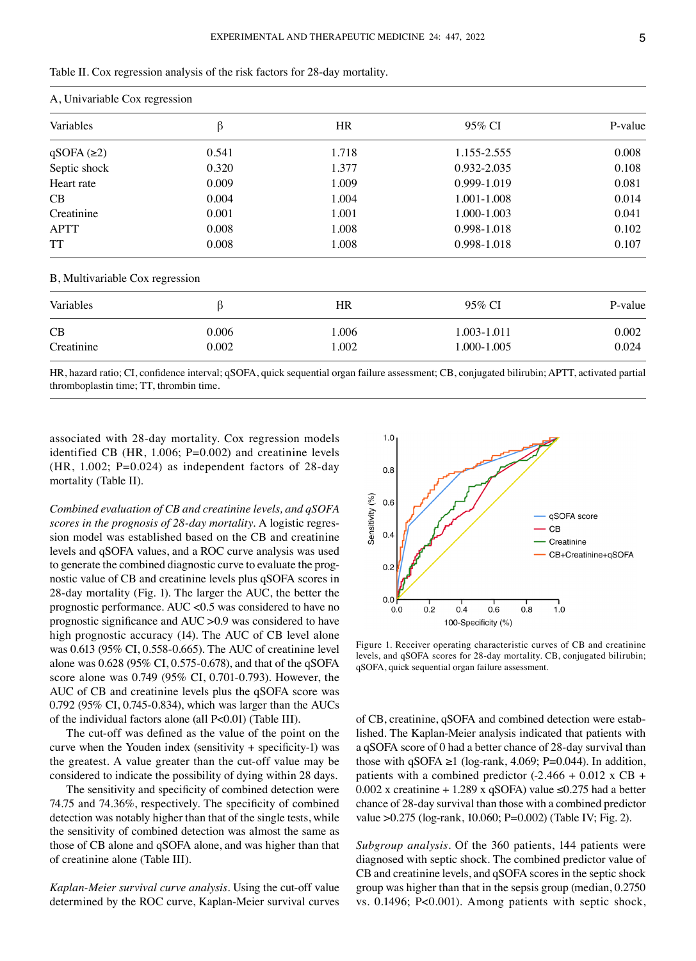|  |  |  |  | Table II. Cox regression analysis of the risk factors for 28-day mortality. |  |  |  |  |  |  |  |  |  |  |
|--|--|--|--|-----------------------------------------------------------------------------|--|--|--|--|--|--|--|--|--|--|
|--|--|--|--|-----------------------------------------------------------------------------|--|--|--|--|--|--|--|--|--|--|

| A, Univariable Cox regression   |       |       |             |         |
|---------------------------------|-------|-------|-------------|---------|
| Variables                       | β     | HR    | 95% CI      | P-value |
| $qSOFA(\geq 2)$                 | 0.541 | 1.718 | 1.155-2.555 | 0.008   |
| Septic shock                    | 0.320 | 1.377 | 0.932-2.035 | 0.108   |
| Heart rate                      | 0.009 | 1.009 | 0.999-1.019 | 0.081   |
| CB                              | 0.004 | 1.004 | 1.001-1.008 | 0.014   |
| Creatinine                      | 0.001 | 1.001 | 1.000-1.003 | 0.041   |
| <b>APTT</b>                     | 0.008 | 1.008 | 0.998-1.018 | 0.102   |
| <b>TT</b>                       | 0.008 | 1.008 | 0.998-1.018 | 0.107   |
| B, Multivariable Cox regression |       |       |             |         |
| Variables                       | β     | HR    | 95% CI      | P-value |
| CB                              | 0.006 | 1.006 | 1.003-1.011 | 0.002   |
| Creatinine                      | 0.002 | 1.002 | 1.000-1.005 | 0.024   |

|  |  | Table II. Cox regression analysis of the risk factors for 28-day mortal |  |  |  |  |  |
|--|--|-------------------------------------------------------------------------|--|--|--|--|--|
|  |  |                                                                         |  |  |  |  |  |

HR, hazard ratio; CI, confidence interval; qSOFA, quick sequential organ failure assessment; CB, conjugated bilirubin; APTT, activated partial thromboplastin time; TT, thrombin time.

associated with 28‑day mortality. Cox regression models identified CB (HR, 1.006; P=0.002) and creatinine levels (HR, 1.002; P=0.024) as independent factors of  $28$ -day mortality (Table II).

*Combined evaluation of CB and creatinine levels, and qSOFA scores in the prognosis of 28‑day mortality.* A logistic regres‑ sion model was established based on the CB and creatinine levels and qSOFA values, and a ROC curve analysis was used to generate the combined diagnostic curve to evaluate the prognostic value of CB and creatinine levels plus qSOFA scores in 28‑day mortality (Fig. 1). The larger the AUC, the better the prognostic performance. AUC <0.5 was considered to have no prognostic significance and AUC >0.9 was considered to have high prognostic accuracy (14). The AUC of CB level alone was 0.613 (95% CI, 0.558‑0.665). The AUC of creatinine level alone was 0.628 (95% CI, 0.575‑0.678), and that of the qSOFA score alone was 0.749 (95% CI, 0.701‑0.793). However, the AUC of CB and creatinine levels plus the qSOFA score was 0.792 (95% CI, 0.745‑0.834), which was larger than the AUCs of the individual factors alone (all P<0.01) (Table III).

The cut-off was defined as the value of the point on the curve when the Youden index (sensitivity  $+$  specificity-1) was the greatest. A value greater than the cut‑off value may be considered to indicate the possibility of dying within 28 days.

The sensitivity and specificity of combined detection were 74.75 and 74.36%, respectively. The specificity of combined detection was notably higher than that of the single tests, while the sensitivity of combined detection was almost the same as those of CB alone and qSOFA alone, and was higher than that of creatinine alone (Table III).

*Kaplan‑Meier survival curve analysis.* Using the cut‑off value determined by the ROC curve, Kaplan-Meier survival curves



Figure 1. Receiver operating characteristic curves of CB and creatinine levels, and qSOFA scores for 28‑day mortality. CB, conjugated bilirubin; qSOFA, quick sequential organ failure assessment.

of CB, creatinine, qSOFA and combined detection were established. The Kaplan‑Meier analysis indicated that patients with a qSOFA score of 0 had a better chance of 28‑day survival than those with qSOFA  $\geq 1$  (log-rank, 4.069; P=0.044). In addition, patients with a combined predictor  $(-2.466 + 0.012 \times CB +$ 0.002 x creatinine + 1.289 x qSOFA) value  $\leq$ 0.275 had a better chance of 28‑day survival than those with a combined predictor value > 0.275 (log-rank, 10.060; P=0.002) (Table IV; Fig. 2).

*Subgroup analysis.* Of the 360 patients, 144 patients were diagnosed with septic shock. The combined predictor value of CB and creatinine levels, and qSOFA scores in the septic shock group was higher than that in the sepsis group (median, 0.2750 vs. 0.1496; P<0.001). Among patients with septic shock,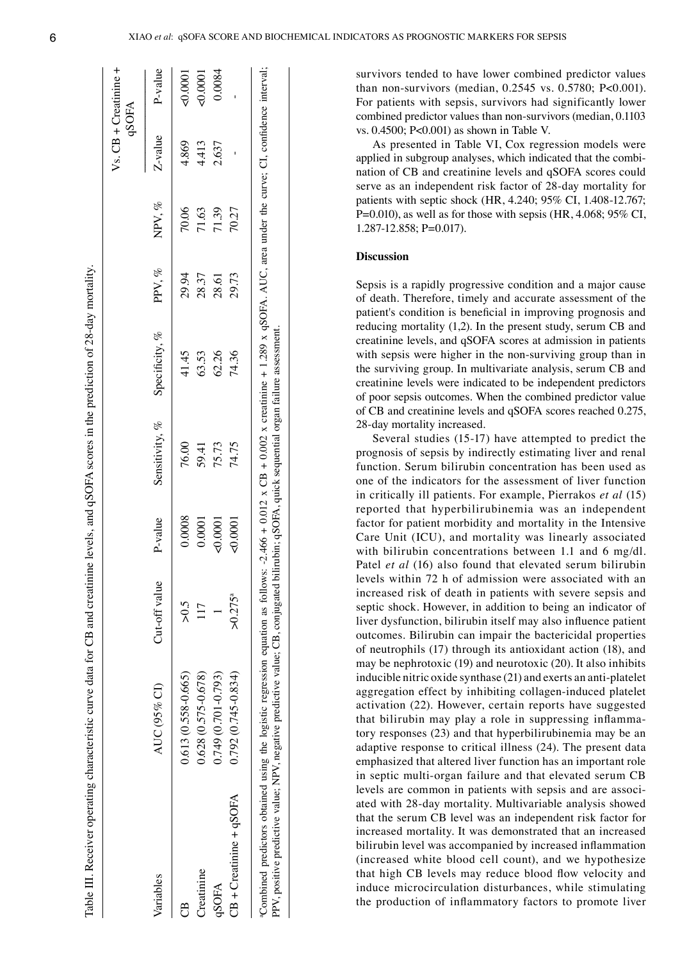|                                                                                                                                                                                               |                        |                       |           |                   |                |        |        | $Vs. CB + Creating +$<br>qSOFA |           |
|-----------------------------------------------------------------------------------------------------------------------------------------------------------------------------------------------|------------------------|-----------------------|-----------|-------------------|----------------|--------|--------|--------------------------------|-----------|
| Variables                                                                                                                                                                                     | AUC (95% CI)           | Cut-off value         | P-value   | Sensitivity, $\%$ | Specificity, % | PPV, % | NPV, % | $Z$ -value                     | P-value   |
|                                                                                                                                                                                               | $0.613(0.558 - 0.665)$ | $\lesssim$            | 0.0008    | 76.00             | 41.45          | 29.94  | 70.06  | 4.869                          | $-0.0001$ |
| Treatinine                                                                                                                                                                                    | $0.628(0.575 - 0.678)$ |                       | 0.0001    | 59.41             | 63.53          | 28.37  | 71.63  | 4.413                          | $-0.0001$ |
| qSOFA                                                                                                                                                                                         | 0.749 (0.701-0.793)    |                       | $-0.0001$ | 75.73             | 62.26          | 28.61  | 71.39  | 2.637                          | 0.0084    |
| $CB + Creative + 950FA$                                                                                                                                                                       | $0.792(0.745 - 0.834)$ | $>0.275$ <sup>a</sup> | $-0.0001$ | 74.75             | 74.36          | 29.73  | 70.27  |                                |           |
|                                                                                                                                                                                               |                        |                       |           |                   |                |        |        |                                |           |
| Combined predictors obtained using the logistic regression equation as follows: -2.466 + 0.012 x CB + 0.002 x creatinine + 1.289 x qSOFA. AUC, area under the curve; CI, confidence interval; |                        |                       |           |                   |                |        |        |                                |           |
| PPV, positive predictive value; NPV, negative predictive value; CB, conjugated bilirubin; qSOFA, quick sequential organ failure assessment                                                    |                        |                       |           |                   |                |        |        |                                |           |

Table III. Receiver operating characteristic curve data for CB and creatinine levels, and qSOFA scores in the prediction of 28‑day mortality.

Table III. Receiver operating characteristic curve data for CB and creatinine levels, and qSOFA scores in the prediction of 28-day mortality

survivors tended to have lower combined predictor values than non-survivors (median, 0.2545 vs. 0.5780; P<0.001). For patients with sepsis, survivors had significantly lower combined predictor values than non‑survivors (median, 0.1103 vs. 0.4500; P<0.001) as shown in Table V.

As presented in Table VI, Cox regression models were applied in subgroup analyses, which indicated that the combination of CB and creatinine levels and qSOFA scores could serve as an independent risk factor of 28‑day mortality for patients with septic shock (HR, 4.240; 95% CI, 1.408‑12.767; P=0.010), as well as for those with sepsis (HR, 4.068; 95% CI, 1.287‑12.858; P=0.017).

# **Discussion**

Sepsis is a rapidly progressive condition and a major cause of death. Therefore, timely and accurate assessment of the patient's condition is beneficial in improving prognosis and reducing mortality (1,2). In the present study, serum CB and creatinine levels, and qSOFA scores at admission in patients with sepsis were higher in the non-surviving group than in the surviving group. In multivariate analysis, serum CB and creatinine levels were indicated to be independent predictors of poor sepsis outcomes. When the combined predictor value of CB and creatinine levels and qSOFA scores reached 0.275, 28‑day mortality increased.

Several studies (15‑17) have attempted to predict the prognosis of sepsis by indirectly estimating liver and renal function. Serum bilirubin concentration has been used as one of the indicators for the assessment of liver function in critically ill patients. For example, Pierrakos *et al* (15) reported that hyperbilirubinemia was an independent factor for patient morbidity and mortality in the Intensive Care Unit (ICU), and mortality was linearly associated with bilirubin concentrations between 1.1 and 6 mg/dl. Patel *et al* (16) also found that elevated serum bilirubin levels within 72 h of admission were associated with an increased risk of death in patients with severe sepsis and septic shock. However, in addition to being an indicator of liver dysfunction, bilirubin itself may also influence patient outcomes. Bilirubin can impair the bactericidal properties of neutrophils (17) through its antioxidant action (18), and may be nephrotoxic (19) and neurotoxic (20). It also inhibits inducible nitric oxide synthase (21) and exerts an anti‑platelet aggregation effect by inhibiting collagen‑induced platelet activation (22). However, certain reports have suggested that bilirubin may play a role in suppressing inflamma‑ tory responses (23) and that hyperbilirubinemia may be an adaptive response to critical illness (24). The present data emphasized that altered liver function has an important role in septic multi-organ failure and that elevated serum CB levels are common in patients with sepsis and are associated with 28‑day mortality. Multivariable analysis showed that the serum CB level was an independent risk factor for increased mortality. It was demonstrated that an increased bilirubin level was accompanied by increased inflammation (increased white blood cell count), and we hypothesize that high CB levels may reduce blood flow velocity and induce microcirculation disturbances, while stimulating the production of inflammatory factors to promote liver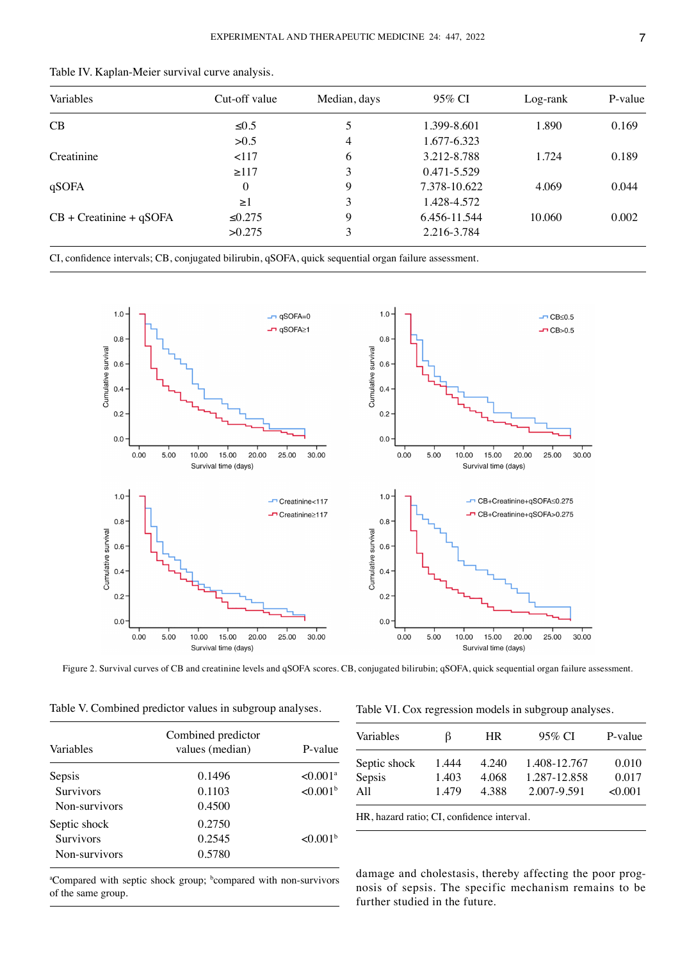| Variables               | Cut-off value | Median, days | 95% CI       | Log-rank | P-value |
|-------------------------|---------------|--------------|--------------|----------|---------|
| CB                      | $\leq 0.5$    |              | 1.399-8.601  | 1.890    | 0.169   |
|                         | >0.5          | 4            | 1.677-6.323  |          |         |
| Creatinine              | 117           | 6            | 3.212-8.788  | 1.724    | 0.189   |
|                         | $\geq$ 117    | 3            | 0.471-5.529  |          |         |
| qSOFA                   | $\theta$      | 9            | 7.378-10.622 | 4.069    | 0.044   |
|                         | $\geq$ 1      | 3            | 1.428-4.572  |          |         |
| $CB + Creative + qSOPA$ | ≤0.275        | 9            | 6.456-11.544 | 10.060   | 0.002   |
|                         | >0.275        | 3            | 2.216-3.784  |          |         |

Table IV. Kaplan‑Meier survival curve analysis.

CI, confidence intervals; CB, conjugated bilirubin, qSOFA, quick sequential organ failure assessment.



Figure 2. Survival curves of CB and creatinine levels and qSOFA scores. CB, conjugated bilirubin; qSOFA, quick sequential organ failure assessment.

Table V. Combined predictor values in subgroup analyses.

| Variables        | Combined predictor<br>values (median) | P-value                |
|------------------|---------------------------------------|------------------------|
| Sepsis           | 0.1496                                | $< 0.001$ <sup>a</sup> |
| Survivors        | 0.1103                                | $< 0.001$ <sup>b</sup> |
| Non-survivors    | 0.4500                                |                        |
| Septic shock     | 0.2750                                |                        |
| <b>Survivors</b> | 0.2545                                | < 0.001 <sup>b</sup>   |
| Non-survivors    | 0.5780                                |                        |

Table VI. Cox regression models in subgroup analyses.

| Variables    | ß     | <b>HR</b> | 95% CI       | P-value |
|--------------|-------|-----------|--------------|---------|
| Septic shock | 1.444 | 4.240     | 1.408-12.767 | 0.010   |
| Sepsis       | 1.403 | 4.068     | 1.287-12.858 | 0.017   |
| All          | 1.479 | 4 3 8 8   | 2.007-9.591  | < 0.001 |

HR, hazard ratio; CI, confidence interval.

<sup>a</sup>Compared with septic shock group; <sup>b</sup>compared with non-survivors of the same group.

damage and cholestasis, thereby affecting the poor prognosis of sepsis. The specific mechanism remains to be further studied in the future.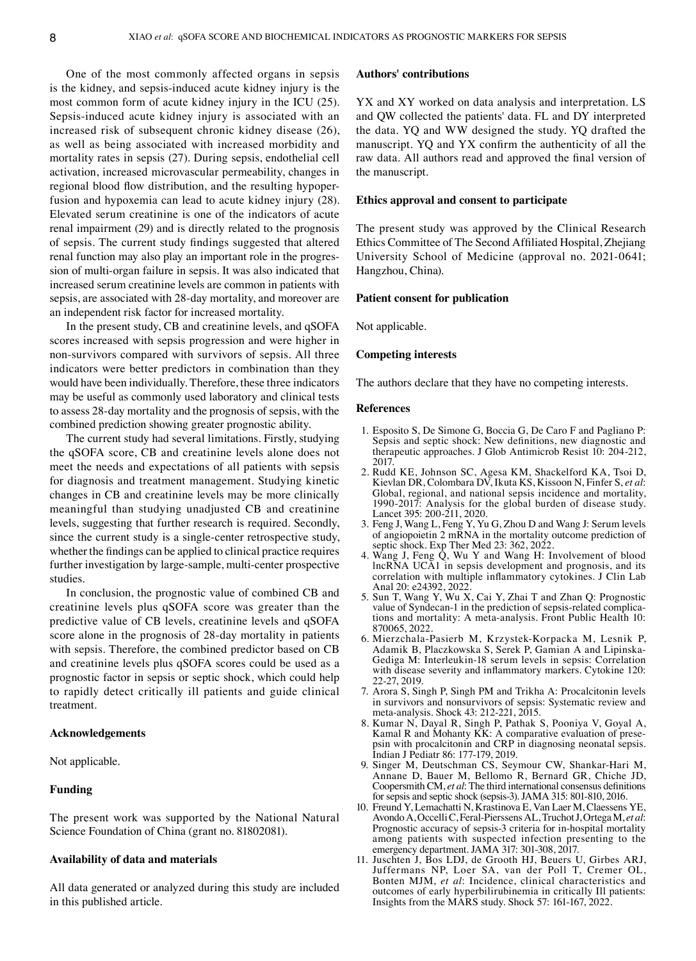One of the most commonly affected organs in sepsis is the kidney, and sepsis‑induced acute kidney injury is the most common form of acute kidney injury in the ICU (25). Sepsis-induced acute kidney injury is associated with an increased risk of subsequent chronic kidney disease (26), as well as being associated with increased morbidity and mortality rates in sepsis (27). During sepsis, endothelial cell activation, increased microvascular permeability, changes in regional blood flow distribution, and the resulting hypoperfusion and hypoxemia can lead to acute kidney injury (28). Elevated serum creatinine is one of the indicators of acute renal impairment (29) and is directly related to the prognosis of sepsis. The current study findings suggested that altered renal function may also play an important role in the progression of multi‑organ failure in sepsis. It was also indicated that increased serum creatinine levels are common in patients with sepsis, are associated with 28‑day mortality, and moreover are an independent risk factor for increased mortality.

In the present study, CB and creatinine levels, and qSOFA scores increased with sepsis progression and were higher in non‑survivors compared with survivors of sepsis. All three indicators were better predictors in combination than they would have been individually. Therefore, these three indicators may be useful as commonly used laboratory and clinical tests to assess 28‑day mortality and the prognosis of sepsis, with the combined prediction showing greater prognostic ability.

The current study had several limitations. Firstly, studying the qSOFA score, CB and creatinine levels alone does not meet the needs and expectations of all patients with sepsis for diagnosis and treatment management. Studying kinetic changes in CB and creatinine levels may be more clinically meaningful than studying unadjusted CB and creatinine levels, suggesting that further research is required. Secondly, since the current study is a single-center retrospective study, whether the findings can be applied to clinical practice requires further investigation by large‑sample, multi‑center prospective studies.

In conclusion, the prognostic value of combined CB and creatinine levels plus qSOFA score was greater than the predictive value of CB levels, creatinine levels and qSOFA score alone in the prognosis of 28‑day mortality in patients with sepsis. Therefore, the combined predictor based on CB and creatinine levels plus qSOFA scores could be used as a prognostic factor in sepsis or septic shock, which could help to rapidly detect critically ill patients and guide clinical treatment.

#### **Acknowledgements**

Not applicable.

# **Funding**

The present work was supported by the National Natural Science Foundation of China (grant no. 81802081).

#### **Availability of data and materials**

All data generated or analyzed during this study are included in this published article.

## **Authors' contributions**

YX and XY worked on data analysis and interpretation. LS and QW collected the patients' data. FL and DY interpreted the data. YQ and WW designed the study. YQ drafted the manuscript. YQ and YX confirm the authenticity of all the raw data. All authors read and approved the final version of the manuscript.

# **Ethics approval and consent to participate**

The present study was approved by the Clinical Research Ethics Committee of The Second Affiliated Hospital, Zhejiang University School of Medicine (approval no. 2021-0641; Hangzhou, China).

# **Patient consent for publication**

Not applicable.

#### **Competing interests**

The authors declare that they have no competing interests.

#### **References**

- 1. Esposito S, De Simone G, Boccia G, De Caro F and Pagliano P: Sepsis and septic shock: New definitions, new diagnostic and therapeutic approaches. J Glob Antimicrob Resist 10: 204-212, 2017.
- 2. Rudd KE, Johnson SC, Agesa KM, Shackelford KA, Tsoi D, Kievlan DR, Colombara DV, Ikuta KS, Kissoon N, Finfer S, et al: Global, regional, and national sepsis incidence and mortality, 1990‑2017: Analysis for the global burden of disease study. Lancet 395: 200‑211, 2020.
- 3. Feng J, Wang L, Feng Y, Yu G, Zhou D and Wang J: Serum levels of angiopoietin 2 mRNA in the mortality outcome prediction of septic shock. Exp Ther Med 23: 362, 2022
- 4. Wang J, Feng  $\hat{Q}$ , Wu Y and Wang H: Involvement of blood lncRNA UCA1 in sepsis development and prognosis, and its correlation with multiple inflammatory cytokines. J Clin Lab Anal 20: e24392, 2022.
- 5. Sun T, Wang Y, Wu X, Cai Y, Zhai T and Zhan Q: Prognostic tions and mortality: A meta-analysis. Front Public Health 10: 870065, 2022.
- 6. Mierzchala‑Pasierb M, Krzystek‑Korpacka M, Lesnik P, Adamik B, Placzkowska S, Serek P, Gamian A and Lipinska-Gediga M: Interleukin‑18 serum levels in sepsis: Correlation with disease severity and inflammatory markers. Cytokine 120: 22‑27, 2019.
- 7. Arora S, Singh P, Singh PM and Trikha A: Procalcitonin levels in survivors and nonsurvivors of sepsis: Systematic review and meta‑analysis. Shock 43: 212‑221, 2015.
- 8. Kumar N, Dayal R, Singh P, Pathak S, Pooniya V, Goyal A, Kamal R and Mohanty KK: A comparative evaluation of presepsin with procalcitonin and CRP in diagnosing neonatal sepsis. Indian J Pediatr 86: 177‑179, 2019.
- 9. Singer M, Deutschman CS, Seymour CW, Shankar‑Hari M, Annane D, Bauer M, Bellomo R, Bernard GR, Chiche JD, Coopersmith CM, *et al*: The third international consensus definitions for sepsis and septic shock (sepsis‑3). JAMA 315: 801‑810, 2016.
- 10. Freund Y, Lemachatti N, Krastinova E, Van Laer M, Claessens YE, AvondoA, OccelliC, Feral‑PierssensAL, TruchotJ, OrtegaM, *et al*: Prognostic accuracy of sepsis‑3 criteria for in‑hospital mortality among patients with suspected infection presenting to the emergency department. JAMA 317: 301-308, 2017.
- 11. Juschten J, Bos LDJ, de Grooth HJ, Beuers U, Girbes ARJ, Juffermans NP, Loer SA, van der Poll T, Cremer OL, Bonten MJM, *et al*: Incidence, clinical characteristics and outcomes of early hyperbilirubinemia in critically Ill patients: Insights from the MARS study. Shock 57: 161‑167, 2022.